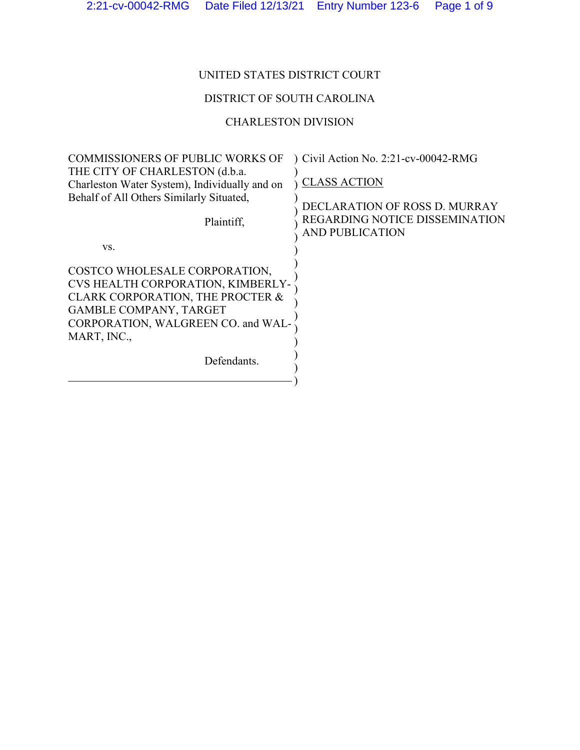# UNITED STATES DISTRICT COURT

## DISTRICT OF SOUTH CAROLINA

# CHARLESTON DIVISION

| <b>COMMISSIONERS OF PUBLIC WORKS OF</b>       | Civil Action No. 2:21-cv-00042-RMG |
|-----------------------------------------------|------------------------------------|
| THE CITY OF CHARLESTON (d.b.a.                |                                    |
| Charleston Water System), Individually and on | <b>CLASS ACTION</b>                |
| Behalf of All Others Similarly Situated,      |                                    |
|                                               | DECLARATION OF ROSS D. MURRAY      |
| Plaintiff,                                    | REGARDING NOTICE DISSEMINATION     |
|                                               | <b>AND PUBLICATION</b>             |
| VS.                                           |                                    |
| COSTCO WHOLESALE CORPORATION,                 |                                    |
| CVS HEALTH CORPORATION, KIMBERLY-             |                                    |
| CLARK CORPORATION, THE PROCTER &              |                                    |
| <b>GAMBLE COMPANY, TARGET</b>                 |                                    |
| CORPORATION, WALGREEN CO. and WAL-            |                                    |
| MART, INC.,                                   |                                    |
|                                               |                                    |
| Defendants.                                   |                                    |
|                                               |                                    |
|                                               |                                    |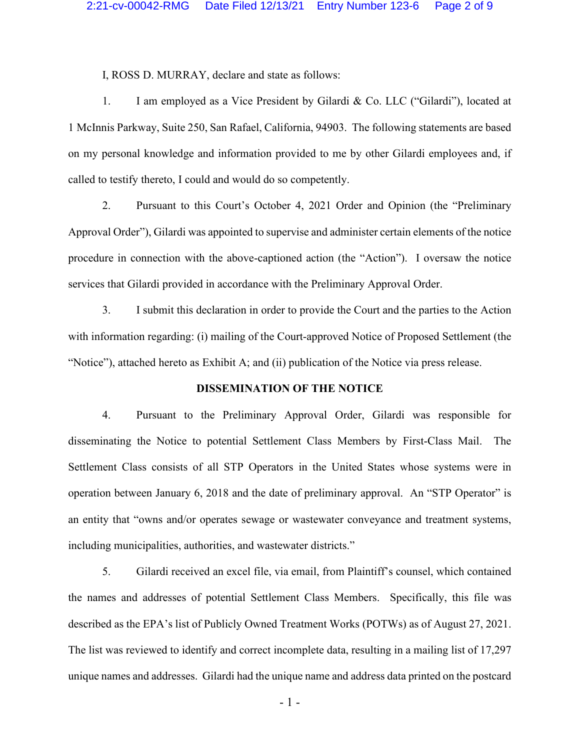I, ROSS D. MURRAY, declare and state as follows:

1. I am employed as a Vice President by Gilardi & Co. LLC ("Gilardi"), located at 1 McInnis Parkway, Suite 250, San Rafael, California, 94903. The following statements are based on my personal knowledge and information provided to me by other Gilardi employees and, if called to testify thereto, I could and would do so competently.

2. Pursuant to this Court's October 4, 2021 Order and Opinion (the "Preliminary Approval Order"), Gilardi was appointed to supervise and administer certain elements of the notice procedure in connection with the above-captioned action (the "Action"). I oversaw the notice services that Gilardi provided in accordance with the Preliminary Approval Order.

3. I submit this declaration in order to provide the Court and the parties to the Action with information regarding: (i) mailing of the Court-approved Notice of Proposed Settlement (the "Notice"), attached hereto as Exhibit A; and (ii) publication of the Notice via press release.

### **DISSEMINATION OF THE NOTICE**

4. Pursuant to the Preliminary Approval Order, Gilardi was responsible for disseminating the Notice to potential Settlement Class Members by First-Class Mail. The Settlement Class consists of all STP Operators in the United States whose systems were in operation between January 6, 2018 and the date of preliminary approval. An "STP Operator" is an entity that "owns and/or operates sewage or wastewater conveyance and treatment systems, including municipalities, authorities, and wastewater districts."

5. Gilardi received an excel file, via email, from Plaintiff's counsel, which contained the names and addresses of potential Settlement Class Members. Specifically, this file was described as the EPA's list of Publicly Owned Treatment Works (POTWs) as of August 27, 2021. The list was reviewed to identify and correct incomplete data, resulting in a mailing list of 17,297 unique names and addresses. Gilardi had the unique name and address data printed on the postcard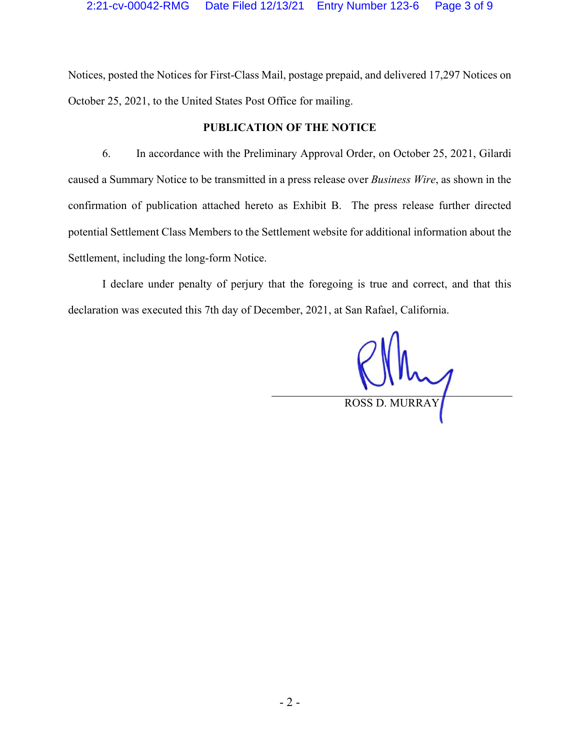Notices, posted the Notices for First-Class Mail, postage prepaid, and delivered 17,297 Notices on October 25, 2021, to the United States Post Office for mailing.

## **PUBLICATION OF THE NOTICE**

6. In accordance with the Preliminary Approval Order, on October 25, 2021, Gilardi caused a Summary Notice to be transmitted in a press release over *Business Wire*, as shown in the confirmation of publication attached hereto as Exhibit B. The press release further directed potential Settlement Class Members to the Settlement website for additional information about the Settlement, including the long-form Notice.

I declare under penalty of perjury that the foregoing is true and correct, and that this declaration was executed this 7th day of December, 2021, at San Rafael, California.

ROSS D. MURRAY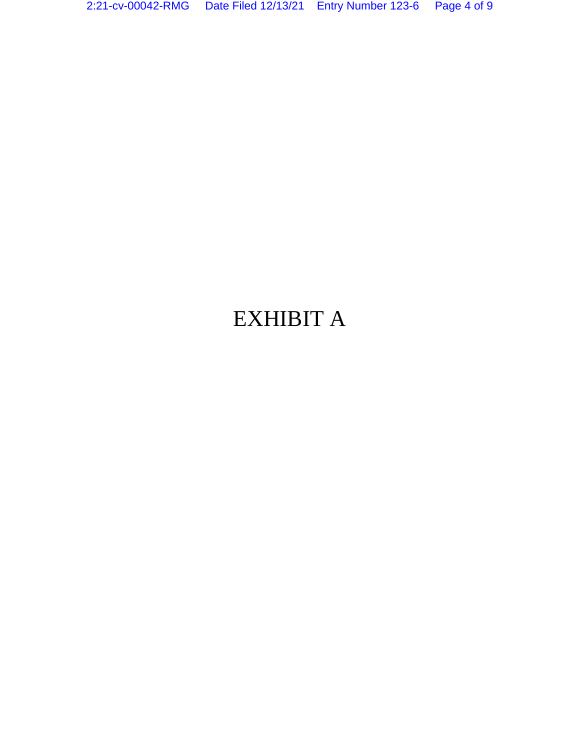# EXHIBIT A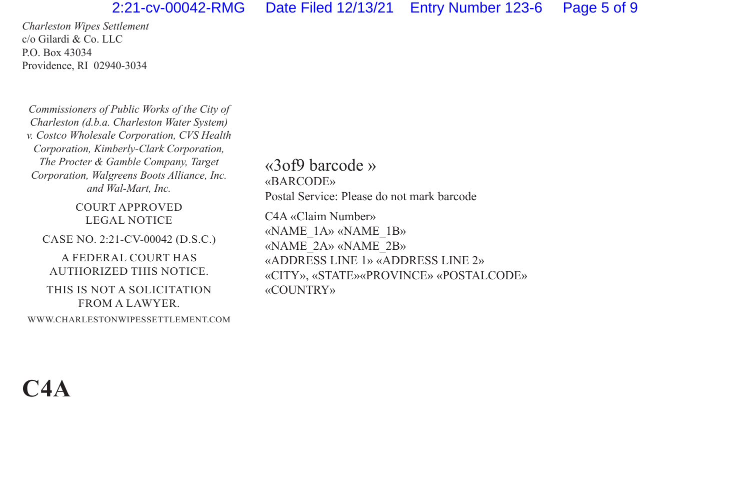### 2:21-cv-00042-RMG Date Filed 12/13/21 Entry Number 123-6 Page 5 of 9

*Charleston Wipes Settlement* c/o Gilardi & Co. LLC P.O. Box 43034 Providence, RI 02940-3034

*Commissioners of Public Works of the City of Charleston (d.b.a. Charleston Water System) v. Costco Wholesale Corporation, CVS Health Corporation, Kimberly-Clark Corporation, The Procter & Gamble Company, Target Corporation, Walgreens Boots Alliance, Inc. and Wal-Mart, Inc.*

COURT APPROVED LEGAL NOTICE

CASE NO. 2:21-CV-00042 (D.S.C.)

A FEDERAL COURT HAS AUTHORIZED THIS NOTICE.

THIS IS NOT A SOLICITATION FROM A LAWYER.

WWW.CHARLESTONWIPESSETTLEMENT.COM

«3of9 barcode » «BARCODE» Postal Service: Please do not mark barcode

C4A «Claim Number» «NAME\_1A» «NAME\_1B» «NAME\_2A» «NAME\_2B» «ADDRESS LINE 1» «ADDRESS LINE 2» «CITY», «STATE»«PROVINCE» «POSTALCODE» «COUNTRY»

**C4A**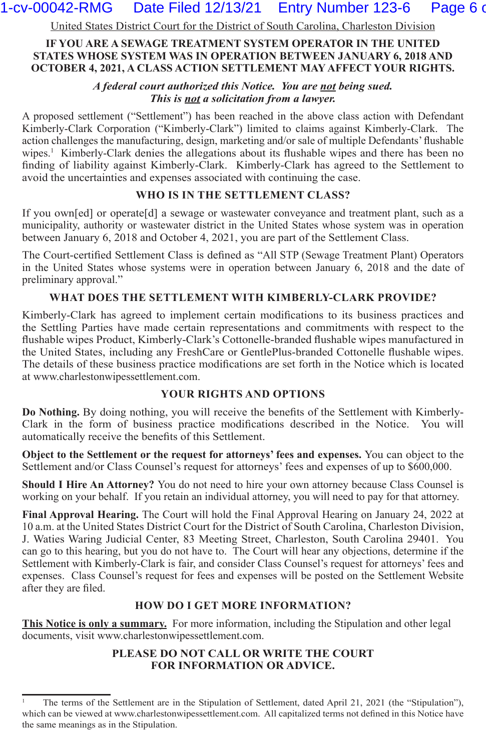## 1-cv-00042-RMG Date Filed 12/13/21 Entry Number 123-6 Page 6 of

United States District Court for the District of South Carolina, Charleston Division

#### **IF YOU ARE A SEWAGE TREATMENT SYSTEM OPERATOR IN THE UNITED STATES WHOSE SYSTEM WAS IN OPERATION BETWEEN JANUARY 6, 2018 AND OCTOBER 4, 2021, A CLASS ACTION SETTLEMENT MAY AFFECT YOUR RIGHTS.**

*A federal court authorized this Notice. You are not being sued. This is not a solicitation from a lawyer.*

A proposed settlement ("Settlement") has been reached in the above class action with Defendant Kimberly-Clark Corporation ("Kimberly-Clark") limited to claims against Kimberly-Clark. The action challenges the manufacturing, design, marketing and/or sale of multiple Defendants' flushable wipes.<sup>1</sup> Kimberly-Clark denies the allegations about its flushable wipes and there has been no finding of liability against Kimberly-Clark. Kimberly-Clark has agreed to the Settlement to avoid the uncertainties and expenses associated with continuing the case.

#### **WHO IS IN THE SETTLEMENT CLASS?**

If you own[ed] or operate[d] a sewage or wastewater conveyance and treatment plant, such as a municipality, authority or wastewater district in the United States whose system was in operation between January 6, 2018 and October 4, 2021, you are part of the Settlement Class.

The Court-certified Settlement Class is defined as "All STP (Sewage Treatment Plant) Operators in the United States whose systems were in operation between January 6, 2018 and the date of preliminary approval."

#### **WHAT DOES THE SETTLEMENT WITH KIMBERLY-CLARK PROVIDE?**

Kimberly-Clark has agreed to implement certain modifications to its business practices and the Settling Parties have made certain representations and commitments with respect to the flushable wipes Product, Kimberly-Clark's Cottonelle-branded flushable wipes manufactured in the United States, including any FreshCare or GentlePlus-branded Cottonelle flushable wipes. The details of these business practice modifications are set forth in the Notice which is located at www.charlestonwipessettlement.com.

#### **YOUR RIGHTS AND OPTIONS**

**Do Nothing.** By doing nothing, you will receive the benefits of the Settlement with Kimberly-Clark in the form of business practice modifications described in the Notice. You will automatically receive the benefits of this Settlement.

**Object to the Settlement or the request for attorneys' fees and expenses.** You can object to the Settlement and/or Class Counsel's request for attorneys' fees and expenses of up to \$600,000.

**Should I Hire An Attorney?** You do not need to hire your own attorney because Class Counsel is working on your behalf. If you retain an individual attorney, you will need to pay for that attorney.

**Final Approval Hearing.** The Court will hold the Final Approval Hearing on January 24, 2022 at 10 a.m. at the United States District Court for the District of South Carolina, Charleston Division, J. Waties Waring Judicial Center, 83 Meeting Street, Charleston, South Carolina 29401. You can go to this hearing, but you do not have to. The Court will hear any objections, determine if the Settlement with Kimberly-Clark is fair, and consider Class Counsel's request for attorneys' fees and expenses. Class Counsel's request for fees and expenses will be posted on the Settlement Website after they are filed.

#### **HOW DO I GET MORE INFORMATION?**

**This Notice is only a summary.** For more information, including the Stipulation and other legal documents, visit www.charlestonwipessettlement.com.

#### **PLEASE DO NOT CALL OR WRITE THE COURT FOR INFORMATION OR ADVICE.**

<sup>1</sup> The terms of the Settlement are in the Stipulation of Settlement, dated April 21, 2021 (the "Stipulation"), which can be viewed at www.charlestonwipessettlement.com. All capitalized terms not defined in this Notice have the same meanings as in the Stipulation.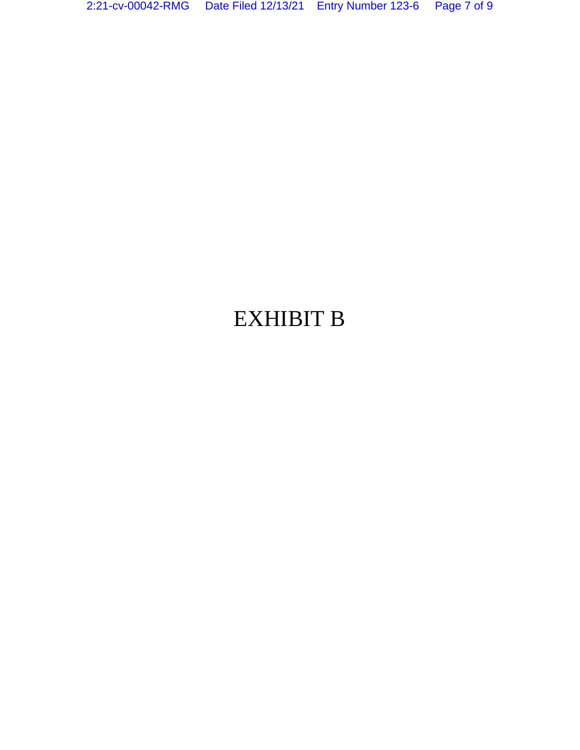# EXHIBIT B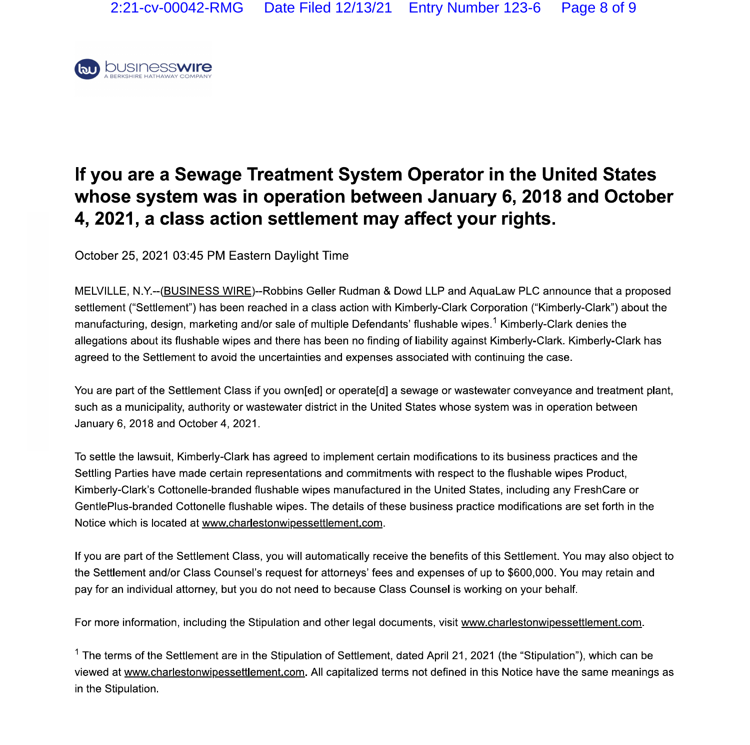

# **If you are a Sewage Treatment System Operator in the United States whose system was in operation between January 6, 2018 and October 4, 2021, a class action settlement may affect your rights.**

October 25, 2021 03:45 PM Eastern Daylight Time

MELVILLE, N.Y.--(BUSINESS WIRE)--Robbins Geller Rudman & Dowd LLP and AquaLaw PLC announce that a proposed settlement ("Settlement") has been reached in a class action with Kimberly-Clark Corporation ("Kimberly-Clark") about the manufacturing, design, marketing and/or sale of multiple Defendants' flushable wipes.<sup>1</sup> Kimberly-Clark denies the allegations about its flushable wipes and there has been no finding of liability against Kimberly-Clark. Kimberly-Clark has agreed to the Settlement to avoid the uncertainties and expenses associated with continuing the case.

You are part of the Settlement Class if you own[ed] or operate[d] a sewage or wastewater conveyance and treatment plant, such as a municipality, authority or wastewater district in the United States whose system was in operation between January 6, 2018 and October 4, 2021.

To settle the lawsuit, Kimberly-Clark has agreed to implement certain modifications to its business practices and the Settling Parties have made certain representations and commitments with respect to the flushable wipes Product, Kimberly-Clark's Cottonelle-branded flushable wipes manufactured in the United States, including any FreshCare or GentlePlus-branded Cottonelle flushable wipes. The details of these business practice modifications are set forth in the Notice which is located at www.charlestonwipessettlement.com.

If you are part of the Settlement Class, you will automatically receive the benefits of this Settlement. You may also object to the Settlement and/or Class Counsel's request for attorneys' fees and expenses of up to \$600,000. You may retain and pay for an individual attorney, but you do not need to because Class Counsel is working on your behalf.

For more information, including the Stipulation and other legal documents, visit www.charlestonwipessettlement.com.

 $1$  The terms of the Settlement are in the Stipulation of Settlement, dated April 21, 2021 (the "Stipulation"), which can be viewed at www.charlestonwipessettlement.com. All capitalized terms not defined in this Notice have the same meanings as in the Stipulation.